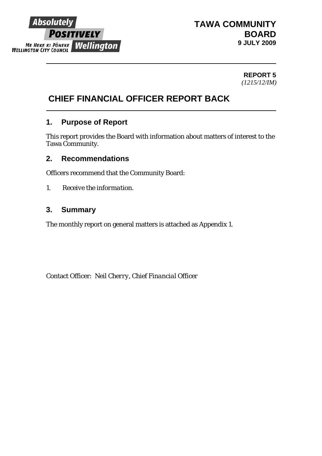

## **TAWA COMMUNITY BOARD 9 JULY 2009**

**REPORT 5**  *(1215/12/IM)*

# **CHIEF FINANCIAL OFFICER REPORT BACK**

## **1. Purpose of Report**

This report provides the Board with information about matters of interest to the Tawa Community.

### **2. Recommendations**

Officers recommend that the Community Board:

*1. Receive the information.* 

## **3. Summary**

The monthly report on general matters is attached as Appendix 1.

Contact Officer: *Neil Cherry, Chief Financial Officer*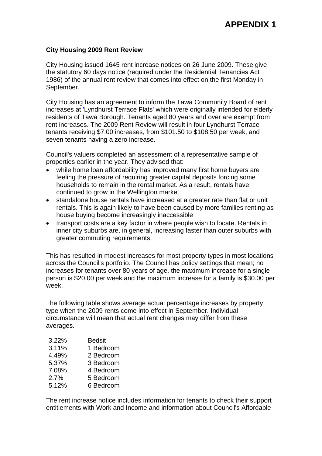### **City Housing 2009 Rent Review**

City Housing issued 1645 rent increase notices on 26 June 2009. These give the statutory 60 days notice (required under the Residential Tenancies Act 1986) of the annual rent review that comes into effect on the first Monday in September.

City Housing has an agreement to inform the Tawa Community Board of rent increases at 'Lyndhurst Terrace Flats' which were originally intended for elderly residents of Tawa Borough. Tenants aged 80 years and over are exempt from rent increases. The 2009 Rent Review will result in four Lyndhurst Terrace tenants receiving \$7.00 increases, from \$101.50 to \$108.50 per week, and seven tenants having a zero increase.

Council's valuers completed an assessment of a representative sample of properties earlier in the year. They advised that:

- while home loan affordability has improved many first home buyers are feeling the pressure of requiring greater capital deposits forcing some households to remain in the rental market. As a result, rentals have continued to grow in the Wellington market
- standalone house rentals have increased at a greater rate than flat or unit rentals. This is again likely to have been caused by more families renting as house buying become increasingly inaccessible
- transport costs are a key factor in where people wish to locate. Rentals in inner city suburbs are, in general, increasing faster than outer suburbs with greater commuting requirements.

This has resulted in modest increases for most property types in most locations across the Council's portfolio. The Council has policy settings that mean; no increases for tenants over 80 years of age, the maximum increase for a single person is \$20.00 per week and the maximum increase for a family is \$30.00 per week.

The following table shows average actual percentage increases by property type when the 2009 rents come into effect in September. Individual circumstance will mean that actual rent changes may differ from these averages.

| 3.22% | <b>Bedsit</b> |
|-------|---------------|
| 3.11% | 1 Bedroom     |
| 4.49% | 2 Bedroom     |
| 5.37% | 3 Bedroom     |
| 7.08% | 4 Bedroom     |
| 2.7%  | 5 Bedroom     |
| 5.12% | 6 Bedroom     |

The rent increase notice includes information for tenants to check their support entitlements with Work and Income and information about Council's Affordable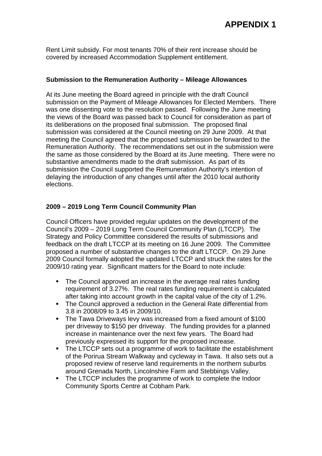## **APPENDIX 1**

Rent Limit subsidy. For most tenants 70% of their rent increase should be covered by increased Accommodation Supplement entitlement.

### **Submission to the Remuneration Authority – Mileage Allowances**

At its June meeting the Board agreed in principle with the draft Council submission on the Payment of Mileage Allowances for Elected Members. There was one dissenting vote to the resolution passed. Following the June meeting the views of the Board was passed back to Council for consideration as part of its deliberations on the proposed final submission. The proposed final submission was considered at the Council meeting on 29 June 2009. At that meeting the Council agreed that the proposed submission be forwarded to the Remuneration Authority. The recommendations set out in the submission were the same as those considered by the Board at its June meeting. There were no substantive amendments made to the draft submission. As part of its submission the Council supported the Remuneration Authority's intention of delaying the introduction of any changes until after the 2010 local authority elections.

### **2009 – 2019 Long Term Council Community Plan**

Council Officers have provided regular updates on the development of the Council's 2009 – 2019 Long Term Council Community Plan (LTCCP). The Strategy and Policy Committee considered the results of submissions and feedback on the draft LTCCP at its meeting on 16 June 2009. The Committee proposed a number of substantive changes to the draft LTCCP. On 29 June 2009 Council formally adopted the updated LTCCP and struck the rates for the 2009/10 rating year. Significant matters for the Board to note include:

- The Council approved an increase in the average real rates funding requirement of 3.27%. The real rates funding requirement is calculated after taking into account growth in the capital value of the city of 1.2%.
- The Council approved a reduction in the General Rate differential from 3.8 in 2008/09 to 3.45 in 2009/10.
- The Tawa Driveways levy was increased from a fixed amount of \$100 per driveway to \$150 per driveway. The funding provides for a planned increase in maintenance over the next few years. The Board had previously expressed its support for the proposed increase.
- The LTCCP sets out a programme of work to facilitate the establishment of the Porirua Stream Walkway and cycleway in Tawa. It also sets out a proposed review of reserve land requirements in the northern suburbs around Grenada North, Lincolnshire Farm and Stebbings Valley.
- The LTCCP includes the programme of work to complete the Indoor Community Sports Centre at Cobham Park.